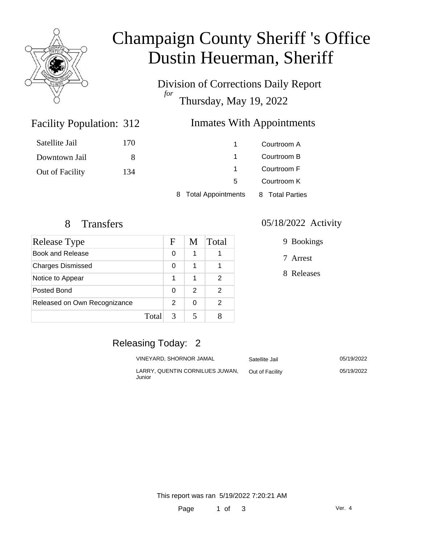

# Champaign County Sheriff 's Office Dustin Heuerman, Sheriff

Division of Corrections Daily Report *for* Thursday, May 19, 2022

### Facility Population: 312

### Inmates With Appointments

| Satellite Jail  | 170 |                                 | Courtroom A     |
|-----------------|-----|---------------------------------|-----------------|
| Downtown Jail   | 8   |                                 | Courtroom B     |
| Out of Facility | 134 |                                 | Courtroom F     |
|                 |     | 5                               | Courtroom K     |
|                 |     | <b>Total Appointments</b><br>8. | 8 Total Parties |

| Release Type                 | F | M | Total |
|------------------------------|---|---|-------|
| Book and Release             | 0 | 1 |       |
| <b>Charges Dismissed</b>     | 0 | 1 |       |
| Notice to Appear             | 1 | 1 | 2     |
| Posted Bond                  | O | 2 | 2     |
| Released on Own Recognizance | 2 | 0 | 2     |
| Total                        | 3 |   |       |

#### 8 Transfers 05/18/2022 Activity

9 Bookings

7 Arrest

8 Releases

# Releasing Today: 2

| VINEYARD. SHORNOR JAMAL                   | Satellite Jail  | 05/19/2022 |
|-------------------------------------------|-----------------|------------|
| LARRY, QUENTIN CORNILUES JUWAN.<br>Junior | Out of Facility | 05/19/2022 |

This report was ran 5/19/2022 7:20:21 AM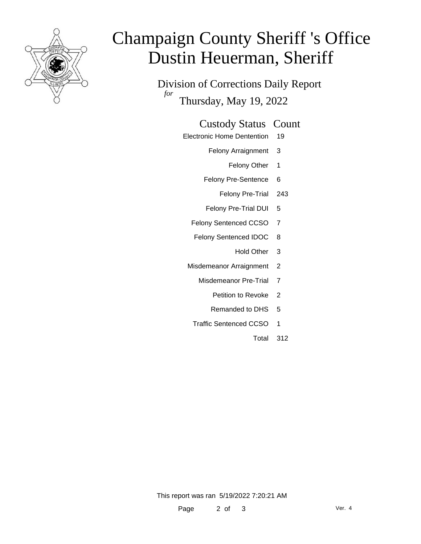

# Champaign County Sheriff 's Office Dustin Heuerman, Sheriff

Division of Corrections Daily Report *for* Thursday, May 19, 2022

#### Custody Status Count

- Electronic Home Dentention 19
	- Felony Arraignment 3
		- Felony Other 1
	- Felony Pre-Sentence 6
		- Felony Pre-Trial 243
	- Felony Pre-Trial DUI 5
	- Felony Sentenced CCSO 7
	- Felony Sentenced IDOC 8
		- Hold Other 3
	- Misdemeanor Arraignment 2
		- Misdemeanor Pre-Trial 7
			- Petition to Revoke 2
			- Remanded to DHS 5
		- Traffic Sentenced CCSO 1
			- Total 312

This report was ran 5/19/2022 7:20:21 AM